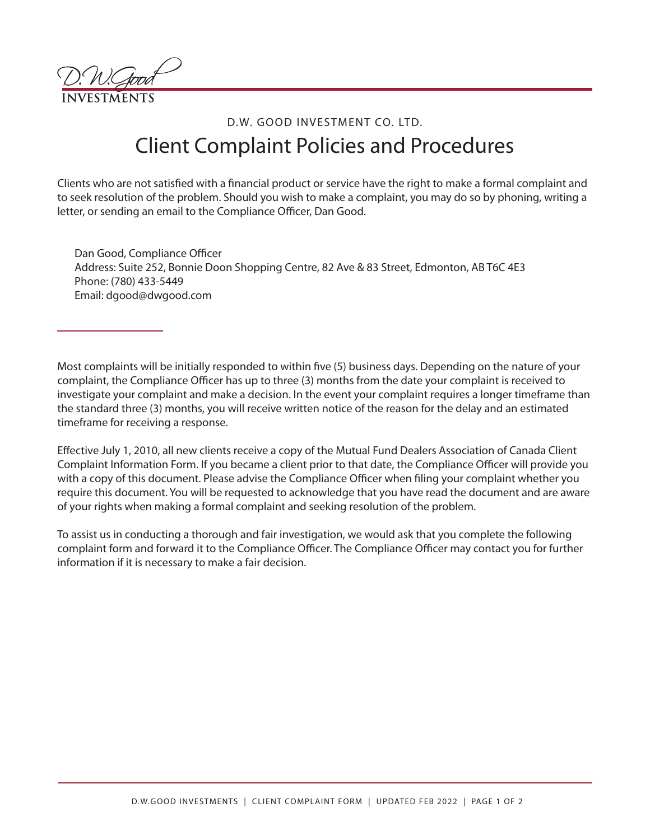## D.W. GOOD INVESTMENT CO. LTD. Client Complaint Policies and Procedures

Clients who are not satisfied with a financial product or service have the right to make a formal complaint and to seek resolution of the problem. Should you wish to make a complaint, you may do so by phoning, writing a letter, or sending an email to the Compliance Officer, Dan Good.

Dan Good, Compliance Officer Address: Suite 252, Bonnie Doon Shopping Centre, 82 Ave & 83 Street, Edmonton, AB T6C 4E3 Phone: (780) 433-5449 Email: dgood@dwgood.com

Most complaints will be initially responded to within five (5) business days. Depending on the nature of your complaint, the Compliance Officer has up to three (3) months from the date your complaint is received to investigate your complaint and make a decision. In the event your complaint requires a longer timeframe than the standard three (3) months, you will receive written notice of the reason for the delay and an estimated timeframe for receiving a response.

Effective July 1, 2010, all new clients receive a copy of the Mutual Fund Dealers Association of Canada Client Complaint Information Form. If you became a client prior to that date, the Compliance Officer will provide you with a copy of this document. Please advise the Compliance Officer when filing your complaint whether you require this document. You will be requested to acknowledge that you have read the document and are aware of your rights when making a formal complaint and seeking resolution of the problem.

To assist us in conducting a thorough and fair investigation, we would ask that you complete the following complaint form and forward it to the Compliance Officer. The Compliance Officer may contact you for further information if it is necessary to make a fair decision.